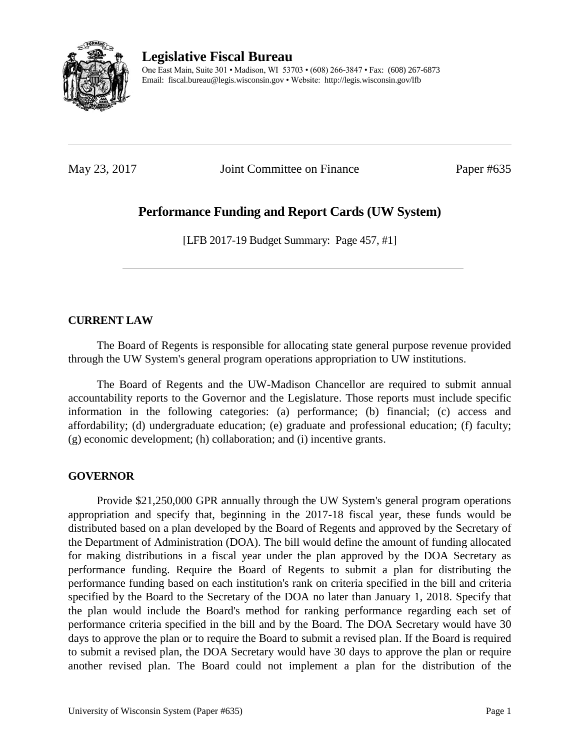

**Legislative Fiscal Bureau**

One East Main, Suite 301 • Madison, WI 53703 • (608) 266-3847 • Fax: (608) 267-6873 Email: fiscal.bureau@legis.wisconsin.gov • Website:<http://legis.wisconsin.gov/lfb>

May 23, 2017 **Joint Committee on Finance** Paper #635

# **Performance Funding and Report Cards (UW System)**

[LFB 2017-19 Budget Summary: Page 457, #1]

#### **CURRENT LAW**

The Board of Regents is responsible for allocating state general purpose revenue provided through the UW System's general program operations appropriation to UW institutions.

The Board of Regents and the UW-Madison Chancellor are required to submit annual accountability reports to the Governor and the Legislature. Those reports must include specific information in the following categories: (a) performance; (b) financial; (c) access and affordability; (d) undergraduate education; (e) graduate and professional education; (f) faculty; (g) economic development; (h) collaboration; and (i) incentive grants.

#### **GOVERNOR**

Provide \$21,250,000 GPR annually through the UW System's general program operations appropriation and specify that, beginning in the 2017-18 fiscal year, these funds would be distributed based on a plan developed by the Board of Regents and approved by the Secretary of the Department of Administration (DOA). The bill would define the amount of funding allocated for making distributions in a fiscal year under the plan approved by the DOA Secretary as performance funding. Require the Board of Regents to submit a plan for distributing the performance funding based on each institution's rank on criteria specified in the bill and criteria specified by the Board to the Secretary of the DOA no later than January 1, 2018. Specify that the plan would include the Board's method for ranking performance regarding each set of performance criteria specified in the bill and by the Board. The DOA Secretary would have 30 days to approve the plan or to require the Board to submit a revised plan. If the Board is required to submit a revised plan, the DOA Secretary would have 30 days to approve the plan or require another revised plan. The Board could not implement a plan for the distribution of the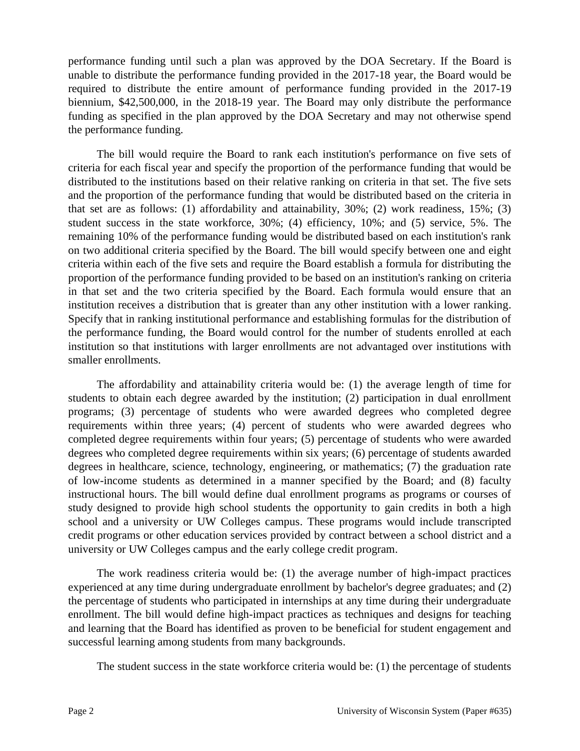performance funding until such a plan was approved by the DOA Secretary. If the Board is unable to distribute the performance funding provided in the 2017-18 year, the Board would be required to distribute the entire amount of performance funding provided in the 2017-19 biennium, \$42,500,000, in the 2018-19 year. The Board may only distribute the performance funding as specified in the plan approved by the DOA Secretary and may not otherwise spend the performance funding.

The bill would require the Board to rank each institution's performance on five sets of criteria for each fiscal year and specify the proportion of the performance funding that would be distributed to the institutions based on their relative ranking on criteria in that set. The five sets and the proportion of the performance funding that would be distributed based on the criteria in that set are as follows: (1) affordability and attainability, 30%; (2) work readiness, 15%; (3) student success in the state workforce, 30%; (4) efficiency, 10%; and (5) service, 5%. The remaining 10% of the performance funding would be distributed based on each institution's rank on two additional criteria specified by the Board. The bill would specify between one and eight criteria within each of the five sets and require the Board establish a formula for distributing the proportion of the performance funding provided to be based on an institution's ranking on criteria in that set and the two criteria specified by the Board. Each formula would ensure that an institution receives a distribution that is greater than any other institution with a lower ranking. Specify that in ranking institutional performance and establishing formulas for the distribution of the performance funding, the Board would control for the number of students enrolled at each institution so that institutions with larger enrollments are not advantaged over institutions with smaller enrollments.

The affordability and attainability criteria would be: (1) the average length of time for students to obtain each degree awarded by the institution; (2) participation in dual enrollment programs; (3) percentage of students who were awarded degrees who completed degree requirements within three years; (4) percent of students who were awarded degrees who completed degree requirements within four years; (5) percentage of students who were awarded degrees who completed degree requirements within six years; (6) percentage of students awarded degrees in healthcare, science, technology, engineering, or mathematics; (7) the graduation rate of low-income students as determined in a manner specified by the Board; and (8) faculty instructional hours. The bill would define dual enrollment programs as programs or courses of study designed to provide high school students the opportunity to gain credits in both a high school and a university or UW Colleges campus. These programs would include transcripted credit programs or other education services provided by contract between a school district and a university or UW Colleges campus and the early college credit program.

The work readiness criteria would be: (1) the average number of high-impact practices experienced at any time during undergraduate enrollment by bachelor's degree graduates; and (2) the percentage of students who participated in internships at any time during their undergraduate enrollment. The bill would define high-impact practices as techniques and designs for teaching and learning that the Board has identified as proven to be beneficial for student engagement and successful learning among students from many backgrounds.

The student success in the state workforce criteria would be: (1) the percentage of students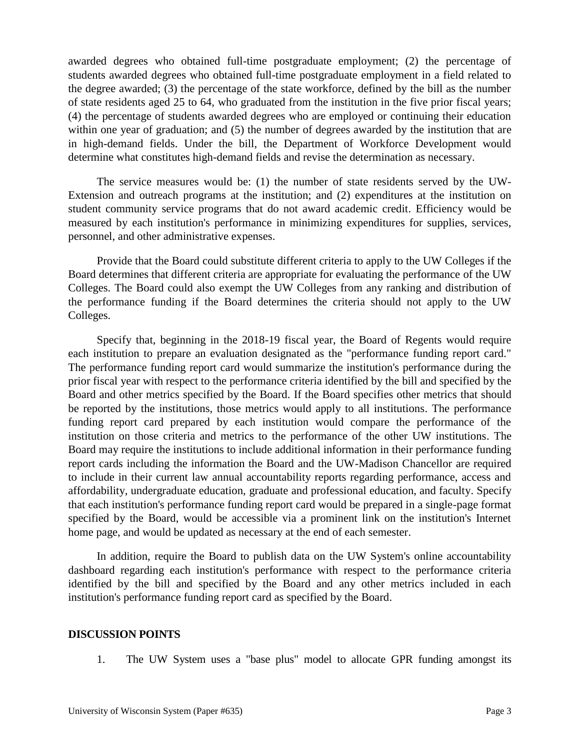awarded degrees who obtained full-time postgraduate employment; (2) the percentage of students awarded degrees who obtained full-time postgraduate employment in a field related to the degree awarded; (3) the percentage of the state workforce, defined by the bill as the number of state residents aged 25 to 64, who graduated from the institution in the five prior fiscal years; (4) the percentage of students awarded degrees who are employed or continuing their education within one year of graduation; and (5) the number of degrees awarded by the institution that are in high-demand fields. Under the bill, the Department of Workforce Development would determine what constitutes high-demand fields and revise the determination as necessary.

The service measures would be: (1) the number of state residents served by the UW-Extension and outreach programs at the institution; and (2) expenditures at the institution on student community service programs that do not award academic credit. Efficiency would be measured by each institution's performance in minimizing expenditures for supplies, services, personnel, and other administrative expenses.

Provide that the Board could substitute different criteria to apply to the UW Colleges if the Board determines that different criteria are appropriate for evaluating the performance of the UW Colleges. The Board could also exempt the UW Colleges from any ranking and distribution of the performance funding if the Board determines the criteria should not apply to the UW Colleges.

Specify that, beginning in the 2018-19 fiscal year, the Board of Regents would require each institution to prepare an evaluation designated as the "performance funding report card." The performance funding report card would summarize the institution's performance during the prior fiscal year with respect to the performance criteria identified by the bill and specified by the Board and other metrics specified by the Board. If the Board specifies other metrics that should be reported by the institutions, those metrics would apply to all institutions. The performance funding report card prepared by each institution would compare the performance of the institution on those criteria and metrics to the performance of the other UW institutions. The Board may require the institutions to include additional information in their performance funding report cards including the information the Board and the UW-Madison Chancellor are required to include in their current law annual accountability reports regarding performance, access and affordability, undergraduate education, graduate and professional education, and faculty. Specify that each institution's performance funding report card would be prepared in a single-page format specified by the Board, would be accessible via a prominent link on the institution's Internet home page, and would be updated as necessary at the end of each semester.

In addition, require the Board to publish data on the UW System's online accountability dashboard regarding each institution's performance with respect to the performance criteria identified by the bill and specified by the Board and any other metrics included in each institution's performance funding report card as specified by the Board.

#### **DISCUSSION POINTS**

1. The UW System uses a "base plus" model to allocate GPR funding amongst its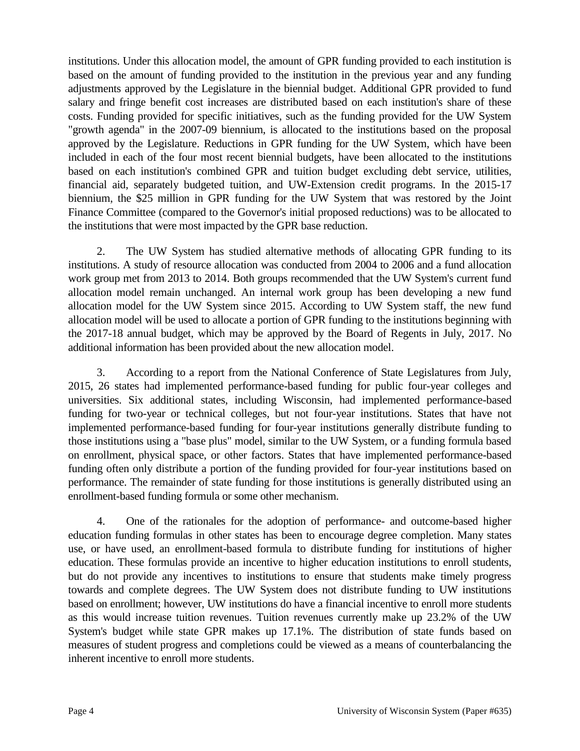institutions. Under this allocation model, the amount of GPR funding provided to each institution is based on the amount of funding provided to the institution in the previous year and any funding adjustments approved by the Legislature in the biennial budget. Additional GPR provided to fund salary and fringe benefit cost increases are distributed based on each institution's share of these costs. Funding provided for specific initiatives, such as the funding provided for the UW System "growth agenda" in the 2007-09 biennium, is allocated to the institutions based on the proposal approved by the Legislature. Reductions in GPR funding for the UW System, which have been included in each of the four most recent biennial budgets, have been allocated to the institutions based on each institution's combined GPR and tuition budget excluding debt service, utilities, financial aid, separately budgeted tuition, and UW-Extension credit programs. In the 2015-17 biennium, the \$25 million in GPR funding for the UW System that was restored by the Joint Finance Committee (compared to the Governor's initial proposed reductions) was to be allocated to the institutions that were most impacted by the GPR base reduction.

2. The UW System has studied alternative methods of allocating GPR funding to its institutions. A study of resource allocation was conducted from 2004 to 2006 and a fund allocation work group met from 2013 to 2014. Both groups recommended that the UW System's current fund allocation model remain unchanged. An internal work group has been developing a new fund allocation model for the UW System since 2015. According to UW System staff, the new fund allocation model will be used to allocate a portion of GPR funding to the institutions beginning with the 2017-18 annual budget, which may be approved by the Board of Regents in July, 2017. No additional information has been provided about the new allocation model.

3. According to a report from the National Conference of State Legislatures from July, 2015, 26 states had implemented performance-based funding for public four-year colleges and universities. Six additional states, including Wisconsin, had implemented performance-based funding for two-year or technical colleges, but not four-year institutions. States that have not implemented performance-based funding for four-year institutions generally distribute funding to those institutions using a "base plus" model, similar to the UW System, or a funding formula based on enrollment, physical space, or other factors. States that have implemented performance-based funding often only distribute a portion of the funding provided for four-year institutions based on performance. The remainder of state funding for those institutions is generally distributed using an enrollment-based funding formula or some other mechanism.

4. One of the rationales for the adoption of performance- and outcome-based higher education funding formulas in other states has been to encourage degree completion. Many states use, or have used, an enrollment-based formula to distribute funding for institutions of higher education. These formulas provide an incentive to higher education institutions to enroll students, but do not provide any incentives to institutions to ensure that students make timely progress towards and complete degrees. The UW System does not distribute funding to UW institutions based on enrollment; however, UW institutions do have a financial incentive to enroll more students as this would increase tuition revenues. Tuition revenues currently make up 23.2% of the UW System's budget while state GPR makes up 17.1%. The distribution of state funds based on measures of student progress and completions could be viewed as a means of counterbalancing the inherent incentive to enroll more students.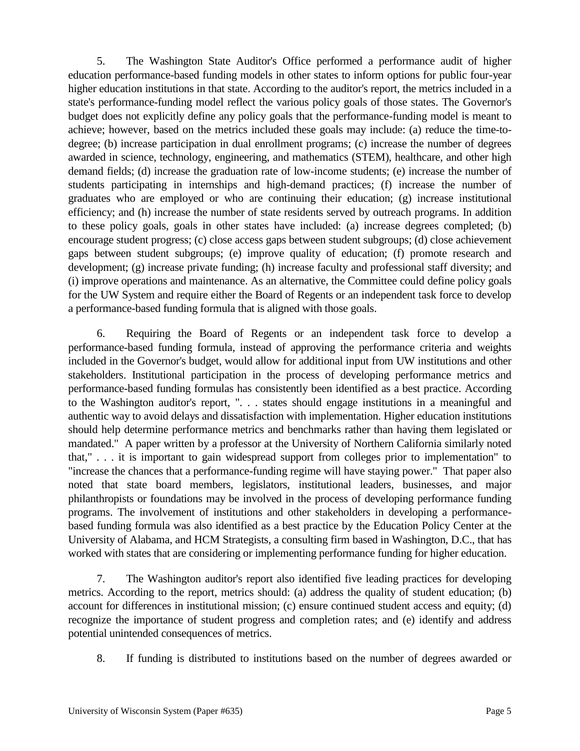5. The Washington State Auditor's Office performed a performance audit of higher education performance-based funding models in other states to inform options for public four-year higher education institutions in that state. According to the auditor's report, the metrics included in a state's performance-funding model reflect the various policy goals of those states. The Governor's budget does not explicitly define any policy goals that the performance-funding model is meant to achieve; however, based on the metrics included these goals may include: (a) reduce the time-todegree; (b) increase participation in dual enrollment programs; (c) increase the number of degrees awarded in science, technology, engineering, and mathematics (STEM), healthcare, and other high demand fields; (d) increase the graduation rate of low-income students; (e) increase the number of students participating in internships and high-demand practices; (f) increase the number of graduates who are employed or who are continuing their education; (g) increase institutional efficiency; and (h) increase the number of state residents served by outreach programs. In addition to these policy goals, goals in other states have included: (a) increase degrees completed; (b) encourage student progress; (c) close access gaps between student subgroups; (d) close achievement gaps between student subgroups; (e) improve quality of education; (f) promote research and development; (g) increase private funding; (h) increase faculty and professional staff diversity; and (i) improve operations and maintenance. As an alternative, the Committee could define policy goals for the UW System and require either the Board of Regents or an independent task force to develop a performance-based funding formula that is aligned with those goals.

6. Requiring the Board of Regents or an independent task force to develop a performance-based funding formula, instead of approving the performance criteria and weights included in the Governor's budget, would allow for additional input from UW institutions and other stakeholders. Institutional participation in the process of developing performance metrics and performance-based funding formulas has consistently been identified as a best practice. According to the Washington auditor's report, ". . . states should engage institutions in a meaningful and authentic way to avoid delays and dissatisfaction with implementation. Higher education institutions should help determine performance metrics and benchmarks rather than having them legislated or mandated." A paper written by a professor at the University of Northern California similarly noted that," . . . it is important to gain widespread support from colleges prior to implementation" to "increase the chances that a performance-funding regime will have staying power." That paper also noted that state board members, legislators, institutional leaders, businesses, and major philanthropists or foundations may be involved in the process of developing performance funding programs. The involvement of institutions and other stakeholders in developing a performancebased funding formula was also identified as a best practice by the Education Policy Center at the University of Alabama, and HCM Strategists, a consulting firm based in Washington, D.C., that has worked with states that are considering or implementing performance funding for higher education.

7. The Washington auditor's report also identified five leading practices for developing metrics. According to the report, metrics should: (a) address the quality of student education; (b) account for differences in institutional mission; (c) ensure continued student access and equity; (d) recognize the importance of student progress and completion rates; and (e) identify and address potential unintended consequences of metrics.

8. If funding is distributed to institutions based on the number of degrees awarded or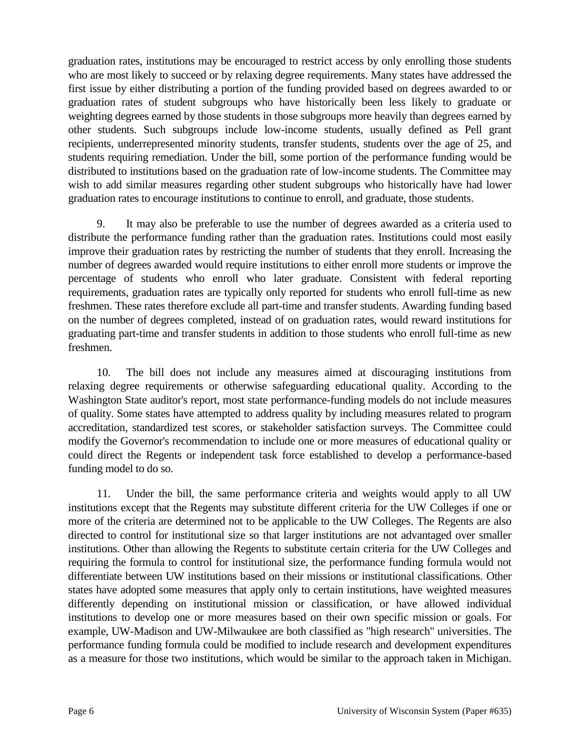graduation rates, institutions may be encouraged to restrict access by only enrolling those students who are most likely to succeed or by relaxing degree requirements. Many states have addressed the first issue by either distributing a portion of the funding provided based on degrees awarded to or graduation rates of student subgroups who have historically been less likely to graduate or weighting degrees earned by those students in those subgroups more heavily than degrees earned by other students. Such subgroups include low-income students, usually defined as Pell grant recipients, underrepresented minority students, transfer students, students over the age of 25, and students requiring remediation. Under the bill, some portion of the performance funding would be distributed to institutions based on the graduation rate of low-income students. The Committee may wish to add similar measures regarding other student subgroups who historically have had lower graduation rates to encourage institutions to continue to enroll, and graduate, those students.

9. It may also be preferable to use the number of degrees awarded as a criteria used to distribute the performance funding rather than the graduation rates. Institutions could most easily improve their graduation rates by restricting the number of students that they enroll. Increasing the number of degrees awarded would require institutions to either enroll more students or improve the percentage of students who enroll who later graduate. Consistent with federal reporting requirements, graduation rates are typically only reported for students who enroll full-time as new freshmen. These rates therefore exclude all part-time and transfer students. Awarding funding based on the number of degrees completed, instead of on graduation rates, would reward institutions for graduating part-time and transfer students in addition to those students who enroll full-time as new freshmen.

10. The bill does not include any measures aimed at discouraging institutions from relaxing degree requirements or otherwise safeguarding educational quality. According to the Washington State auditor's report, most state performance-funding models do not include measures of quality. Some states have attempted to address quality by including measures related to program accreditation, standardized test scores, or stakeholder satisfaction surveys. The Committee could modify the Governor's recommendation to include one or more measures of educational quality or could direct the Regents or independent task force established to develop a performance-based funding model to do so.

11. Under the bill, the same performance criteria and weights would apply to all UW institutions except that the Regents may substitute different criteria for the UW Colleges if one or more of the criteria are determined not to be applicable to the UW Colleges. The Regents are also directed to control for institutional size so that larger institutions are not advantaged over smaller institutions. Other than allowing the Regents to substitute certain criteria for the UW Colleges and requiring the formula to control for institutional size, the performance funding formula would not differentiate between UW institutions based on their missions or institutional classifications. Other states have adopted some measures that apply only to certain institutions, have weighted measures differently depending on institutional mission or classification, or have allowed individual institutions to develop one or more measures based on their own specific mission or goals. For example, UW-Madison and UW-Milwaukee are both classified as "high research" universities. The performance funding formula could be modified to include research and development expenditures as a measure for those two institutions, which would be similar to the approach taken in Michigan.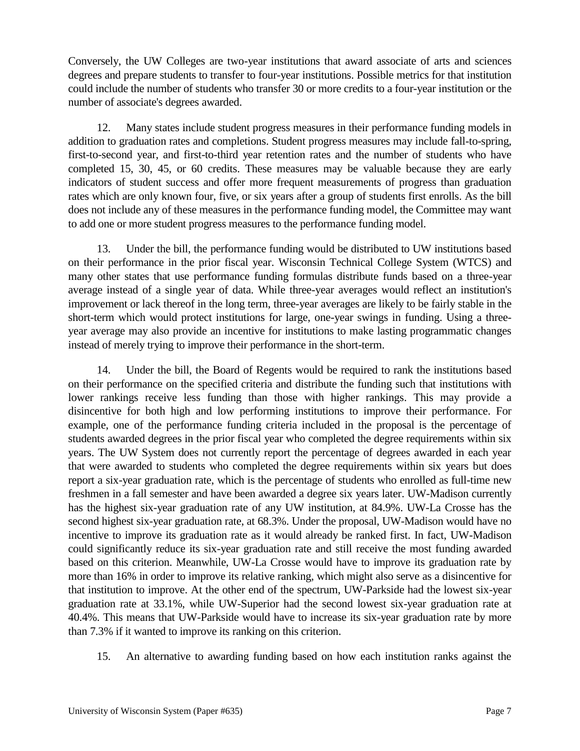Conversely, the UW Colleges are two-year institutions that award associate of arts and sciences degrees and prepare students to transfer to four-year institutions. Possible metrics for that institution could include the number of students who transfer 30 or more credits to a four-year institution or the number of associate's degrees awarded.

12. Many states include student progress measures in their performance funding models in addition to graduation rates and completions. Student progress measures may include fall-to-spring, first-to-second year, and first-to-third year retention rates and the number of students who have completed 15, 30, 45, or 60 credits. These measures may be valuable because they are early indicators of student success and offer more frequent measurements of progress than graduation rates which are only known four, five, or six years after a group of students first enrolls. As the bill does not include any of these measures in the performance funding model, the Committee may want to add one or more student progress measures to the performance funding model.

13. Under the bill, the performance funding would be distributed to UW institutions based on their performance in the prior fiscal year. Wisconsin Technical College System (WTCS) and many other states that use performance funding formulas distribute funds based on a three-year average instead of a single year of data. While three-year averages would reflect an institution's improvement or lack thereof in the long term, three-year averages are likely to be fairly stable in the short-term which would protect institutions for large, one-year swings in funding. Using a threeyear average may also provide an incentive for institutions to make lasting programmatic changes instead of merely trying to improve their performance in the short-term.

14. Under the bill, the Board of Regents would be required to rank the institutions based on their performance on the specified criteria and distribute the funding such that institutions with lower rankings receive less funding than those with higher rankings. This may provide a disincentive for both high and low performing institutions to improve their performance. For example, one of the performance funding criteria included in the proposal is the percentage of students awarded degrees in the prior fiscal year who completed the degree requirements within six years. The UW System does not currently report the percentage of degrees awarded in each year that were awarded to students who completed the degree requirements within six years but does report a six-year graduation rate, which is the percentage of students who enrolled as full-time new freshmen in a fall semester and have been awarded a degree six years later. UW-Madison currently has the highest six-year graduation rate of any UW institution, at 84.9%. UW-La Crosse has the second highest six-year graduation rate, at 68.3%. Under the proposal, UW-Madison would have no incentive to improve its graduation rate as it would already be ranked first. In fact, UW-Madison could significantly reduce its six-year graduation rate and still receive the most funding awarded based on this criterion. Meanwhile, UW-La Crosse would have to improve its graduation rate by more than 16% in order to improve its relative ranking, which might also serve as a disincentive for that institution to improve. At the other end of the spectrum, UW-Parkside had the lowest six-year graduation rate at 33.1%, while UW-Superior had the second lowest six-year graduation rate at 40.4%. This means that UW-Parkside would have to increase its six-year graduation rate by more than 7.3% if it wanted to improve its ranking on this criterion.

15. An alternative to awarding funding based on how each institution ranks against the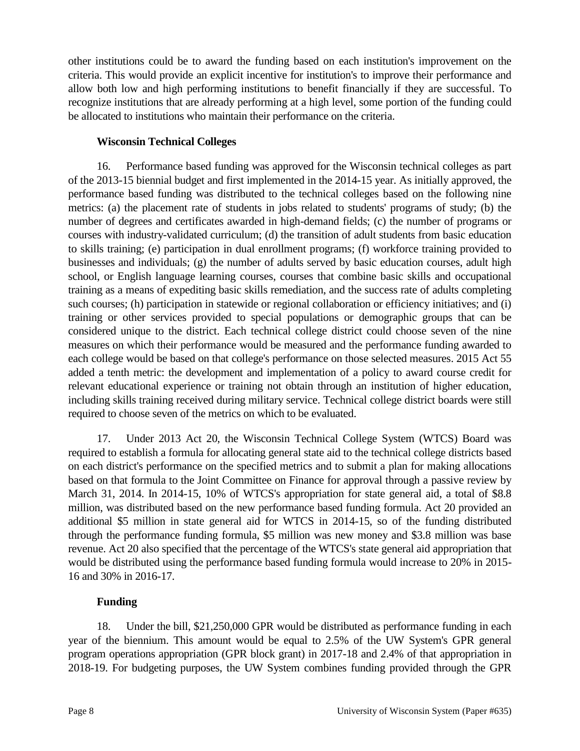other institutions could be to award the funding based on each institution's improvement on the criteria. This would provide an explicit incentive for institution's to improve their performance and allow both low and high performing institutions to benefit financially if they are successful. To recognize institutions that are already performing at a high level, some portion of the funding could be allocated to institutions who maintain their performance on the criteria.

### **Wisconsin Technical Colleges**

16. Performance based funding was approved for the Wisconsin technical colleges as part of the 2013-15 biennial budget and first implemented in the 2014-15 year. As initially approved, the performance based funding was distributed to the technical colleges based on the following nine metrics: (a) the placement rate of students in jobs related to students' programs of study; (b) the number of degrees and certificates awarded in high-demand fields; (c) the number of programs or courses with industry-validated curriculum; (d) the transition of adult students from basic education to skills training; (e) participation in dual enrollment programs; (f) workforce training provided to businesses and individuals; (g) the number of adults served by basic education courses, adult high school, or English language learning courses, courses that combine basic skills and occupational training as a means of expediting basic skills remediation, and the success rate of adults completing such courses; (h) participation in statewide or regional collaboration or efficiency initiatives; and (i) training or other services provided to special populations or demographic groups that can be considered unique to the district. Each technical college district could choose seven of the nine measures on which their performance would be measured and the performance funding awarded to each college would be based on that college's performance on those selected measures. 2015 Act 55 added a tenth metric: the development and implementation of a policy to award course credit for relevant educational experience or training not obtain through an institution of higher education, including skills training received during military service. Technical college district boards were still required to choose seven of the metrics on which to be evaluated.

17. Under 2013 Act 20, the Wisconsin Technical College System (WTCS) Board was required to establish a formula for allocating general state aid to the technical college districts based on each district's performance on the specified metrics and to submit a plan for making allocations based on that formula to the Joint Committee on Finance for approval through a passive review by March 31, 2014. In 2014-15, 10% of WTCS's appropriation for state general aid, a total of \$8.8 million, was distributed based on the new performance based funding formula. Act 20 provided an additional \$5 million in state general aid for WTCS in 2014-15, so of the funding distributed through the performance funding formula, \$5 million was new money and \$3.8 million was base revenue. Act 20 also specified that the percentage of the WTCS's state general aid appropriation that would be distributed using the performance based funding formula would increase to 20% in 2015- 16 and 30% in 2016-17.

#### **Funding**

18. Under the bill, \$21,250,000 GPR would be distributed as performance funding in each year of the biennium. This amount would be equal to 2.5% of the UW System's GPR general program operations appropriation (GPR block grant) in 2017-18 and 2.4% of that appropriation in 2018-19. For budgeting purposes, the UW System combines funding provided through the GPR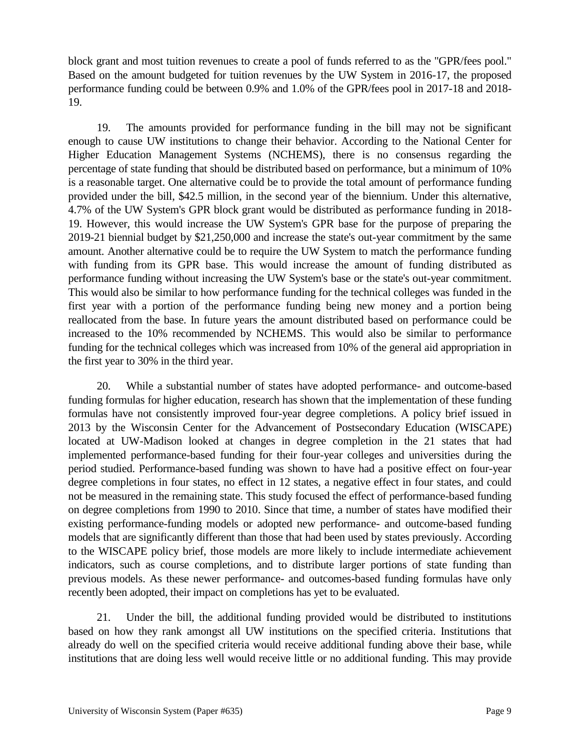block grant and most tuition revenues to create a pool of funds referred to as the "GPR/fees pool." Based on the amount budgeted for tuition revenues by the UW System in 2016-17, the proposed performance funding could be between 0.9% and 1.0% of the GPR/fees pool in 2017-18 and 2018- 19.

19. The amounts provided for performance funding in the bill may not be significant enough to cause UW institutions to change their behavior. According to the National Center for Higher Education Management Systems (NCHEMS), there is no consensus regarding the percentage of state funding that should be distributed based on performance, but a minimum of 10% is a reasonable target. One alternative could be to provide the total amount of performance funding provided under the bill, \$42.5 million, in the second year of the biennium. Under this alternative, 4.7% of the UW System's GPR block grant would be distributed as performance funding in 2018- 19. However, this would increase the UW System's GPR base for the purpose of preparing the 2019-21 biennial budget by \$21,250,000 and increase the state's out-year commitment by the same amount. Another alternative could be to require the UW System to match the performance funding with funding from its GPR base. This would increase the amount of funding distributed as performance funding without increasing the UW System's base or the state's out-year commitment. This would also be similar to how performance funding for the technical colleges was funded in the first year with a portion of the performance funding being new money and a portion being reallocated from the base. In future years the amount distributed based on performance could be increased to the 10% recommended by NCHEMS. This would also be similar to performance funding for the technical colleges which was increased from 10% of the general aid appropriation in the first year to 30% in the third year.

20. While a substantial number of states have adopted performance- and outcome-based funding formulas for higher education, research has shown that the implementation of these funding formulas have not consistently improved four-year degree completions. A policy brief issued in 2013 by the Wisconsin Center for the Advancement of Postsecondary Education (WISCAPE) located at UW-Madison looked at changes in degree completion in the 21 states that had implemented performance-based funding for their four-year colleges and universities during the period studied. Performance-based funding was shown to have had a positive effect on four-year degree completions in four states, no effect in 12 states, a negative effect in four states, and could not be measured in the remaining state. This study focused the effect of performance-based funding on degree completions from 1990 to 2010. Since that time, a number of states have modified their existing performance-funding models or adopted new performance- and outcome-based funding models that are significantly different than those that had been used by states previously. According to the WISCAPE policy brief, those models are more likely to include intermediate achievement indicators, such as course completions, and to distribute larger portions of state funding than previous models. As these newer performance- and outcomes-based funding formulas have only recently been adopted, their impact on completions has yet to be evaluated.

21. Under the bill, the additional funding provided would be distributed to institutions based on how they rank amongst all UW institutions on the specified criteria. Institutions that already do well on the specified criteria would receive additional funding above their base, while institutions that are doing less well would receive little or no additional funding. This may provide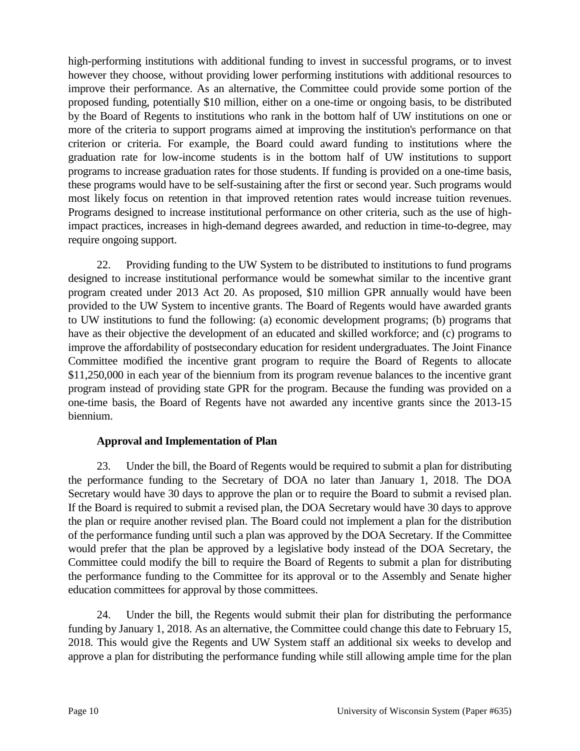high-performing institutions with additional funding to invest in successful programs, or to invest however they choose, without providing lower performing institutions with additional resources to improve their performance. As an alternative, the Committee could provide some portion of the proposed funding, potentially \$10 million, either on a one-time or ongoing basis, to be distributed by the Board of Regents to institutions who rank in the bottom half of UW institutions on one or more of the criteria to support programs aimed at improving the institution's performance on that criterion or criteria. For example, the Board could award funding to institutions where the graduation rate for low-income students is in the bottom half of UW institutions to support programs to increase graduation rates for those students. If funding is provided on a one-time basis, these programs would have to be self-sustaining after the first or second year. Such programs would most likely focus on retention in that improved retention rates would increase tuition revenues. Programs designed to increase institutional performance on other criteria, such as the use of highimpact practices, increases in high-demand degrees awarded, and reduction in time-to-degree, may require ongoing support.

22. Providing funding to the UW System to be distributed to institutions to fund programs designed to increase institutional performance would be somewhat similar to the incentive grant program created under 2013 Act 20. As proposed, \$10 million GPR annually would have been provided to the UW System to incentive grants. The Board of Regents would have awarded grants to UW institutions to fund the following: (a) economic development programs; (b) programs that have as their objective the development of an educated and skilled workforce; and (c) programs to improve the affordability of postsecondary education for resident undergraduates. The Joint Finance Committee modified the incentive grant program to require the Board of Regents to allocate \$11,250,000 in each year of the biennium from its program revenue balances to the incentive grant program instead of providing state GPR for the program. Because the funding was provided on a one-time basis, the Board of Regents have not awarded any incentive grants since the 2013-15 biennium.

#### **Approval and Implementation of Plan**

23. Under the bill, the Board of Regents would be required to submit a plan for distributing the performance funding to the Secretary of DOA no later than January 1, 2018. The DOA Secretary would have 30 days to approve the plan or to require the Board to submit a revised plan. If the Board is required to submit a revised plan, the DOA Secretary would have 30 days to approve the plan or require another revised plan. The Board could not implement a plan for the distribution of the performance funding until such a plan was approved by the DOA Secretary. If the Committee would prefer that the plan be approved by a legislative body instead of the DOA Secretary, the Committee could modify the bill to require the Board of Regents to submit a plan for distributing the performance funding to the Committee for its approval or to the Assembly and Senate higher education committees for approval by those committees.

24. Under the bill, the Regents would submit their plan for distributing the performance funding by January 1, 2018. As an alternative, the Committee could change this date to February 15, 2018. This would give the Regents and UW System staff an additional six weeks to develop and approve a plan for distributing the performance funding while still allowing ample time for the plan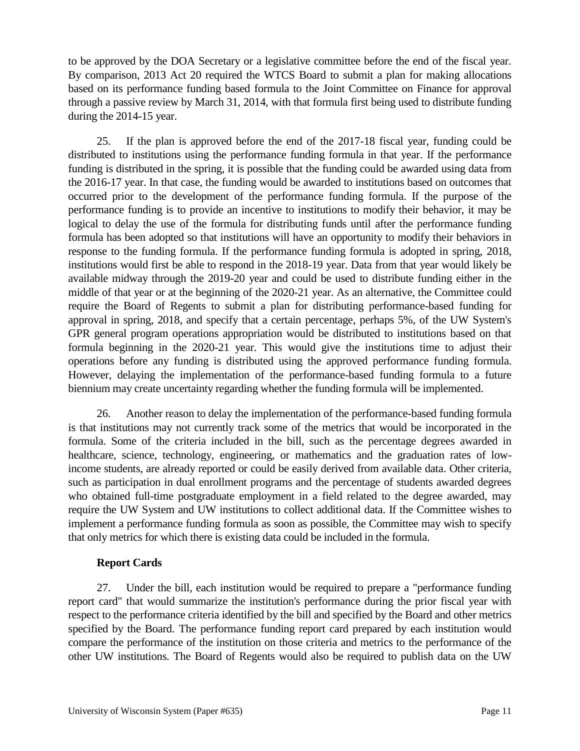to be approved by the DOA Secretary or a legislative committee before the end of the fiscal year. By comparison, 2013 Act 20 required the WTCS Board to submit a plan for making allocations based on its performance funding based formula to the Joint Committee on Finance for approval through a passive review by March 31, 2014, with that formula first being used to distribute funding during the 2014-15 year.

25. If the plan is approved before the end of the 2017-18 fiscal year, funding could be distributed to institutions using the performance funding formula in that year. If the performance funding is distributed in the spring, it is possible that the funding could be awarded using data from the 2016-17 year. In that case, the funding would be awarded to institutions based on outcomes that occurred prior to the development of the performance funding formula. If the purpose of the performance funding is to provide an incentive to institutions to modify their behavior, it may be logical to delay the use of the formula for distributing funds until after the performance funding formula has been adopted so that institutions will have an opportunity to modify their behaviors in response to the funding formula. If the performance funding formula is adopted in spring, 2018, institutions would first be able to respond in the 2018-19 year. Data from that year would likely be available midway through the 2019-20 year and could be used to distribute funding either in the middle of that year or at the beginning of the 2020-21 year. As an alternative, the Committee could require the Board of Regents to submit a plan for distributing performance-based funding for approval in spring, 2018, and specify that a certain percentage, perhaps 5%, of the UW System's GPR general program operations appropriation would be distributed to institutions based on that formula beginning in the 2020-21 year. This would give the institutions time to adjust their operations before any funding is distributed using the approved performance funding formula. However, delaying the implementation of the performance-based funding formula to a future biennium may create uncertainty regarding whether the funding formula will be implemented.

26. Another reason to delay the implementation of the performance-based funding formula is that institutions may not currently track some of the metrics that would be incorporated in the formula. Some of the criteria included in the bill, such as the percentage degrees awarded in healthcare, science, technology, engineering, or mathematics and the graduation rates of lowincome students, are already reported or could be easily derived from available data. Other criteria, such as participation in dual enrollment programs and the percentage of students awarded degrees who obtained full-time postgraduate employment in a field related to the degree awarded, may require the UW System and UW institutions to collect additional data. If the Committee wishes to implement a performance funding formula as soon as possible, the Committee may wish to specify that only metrics for which there is existing data could be included in the formula.

#### **Report Cards**

27. Under the bill, each institution would be required to prepare a "performance funding report card" that would summarize the institution's performance during the prior fiscal year with respect to the performance criteria identified by the bill and specified by the Board and other metrics specified by the Board. The performance funding report card prepared by each institution would compare the performance of the institution on those criteria and metrics to the performance of the other UW institutions. The Board of Regents would also be required to publish data on the UW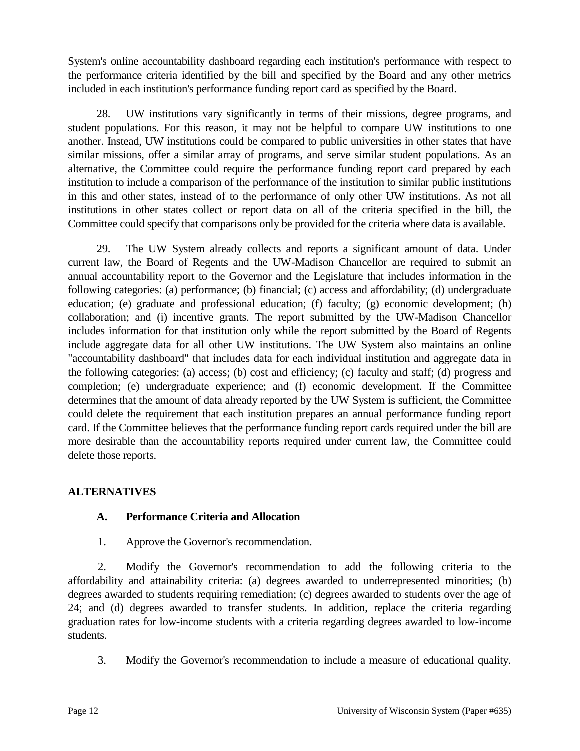System's online accountability dashboard regarding each institution's performance with respect to the performance criteria identified by the bill and specified by the Board and any other metrics included in each institution's performance funding report card as specified by the Board.

28. UW institutions vary significantly in terms of their missions, degree programs, and student populations. For this reason, it may not be helpful to compare UW institutions to one another. Instead, UW institutions could be compared to public universities in other states that have similar missions, offer a similar array of programs, and serve similar student populations. As an alternative, the Committee could require the performance funding report card prepared by each institution to include a comparison of the performance of the institution to similar public institutions in this and other states, instead of to the performance of only other UW institutions. As not all institutions in other states collect or report data on all of the criteria specified in the bill, the Committee could specify that comparisons only be provided for the criteria where data is available.

29. The UW System already collects and reports a significant amount of data. Under current law, the Board of Regents and the UW-Madison Chancellor are required to submit an annual accountability report to the Governor and the Legislature that includes information in the following categories: (a) performance; (b) financial; (c) access and affordability; (d) undergraduate education; (e) graduate and professional education; (f) faculty; (g) economic development; (h) collaboration; and (i) incentive grants. The report submitted by the UW-Madison Chancellor includes information for that institution only while the report submitted by the Board of Regents include aggregate data for all other UW institutions. The UW System also maintains an online "accountability dashboard" that includes data for each individual institution and aggregate data in the following categories: (a) access; (b) cost and efficiency; (c) faculty and staff; (d) progress and completion; (e) undergraduate experience; and (f) economic development. If the Committee determines that the amount of data already reported by the UW System is sufficient, the Committee could delete the requirement that each institution prepares an annual performance funding report card. If the Committee believes that the performance funding report cards required under the bill are more desirable than the accountability reports required under current law, the Committee could delete those reports.

#### **ALTERNATIVES**

## **A. Performance Criteria and Allocation**

1. Approve the Governor's recommendation.

2. Modify the Governor's recommendation to add the following criteria to the affordability and attainability criteria: (a) degrees awarded to underrepresented minorities; (b) degrees awarded to students requiring remediation; (c) degrees awarded to students over the age of 24; and (d) degrees awarded to transfer students. In addition, replace the criteria regarding graduation rates for low-income students with a criteria regarding degrees awarded to low-income students.

3. Modify the Governor's recommendation to include a measure of educational quality.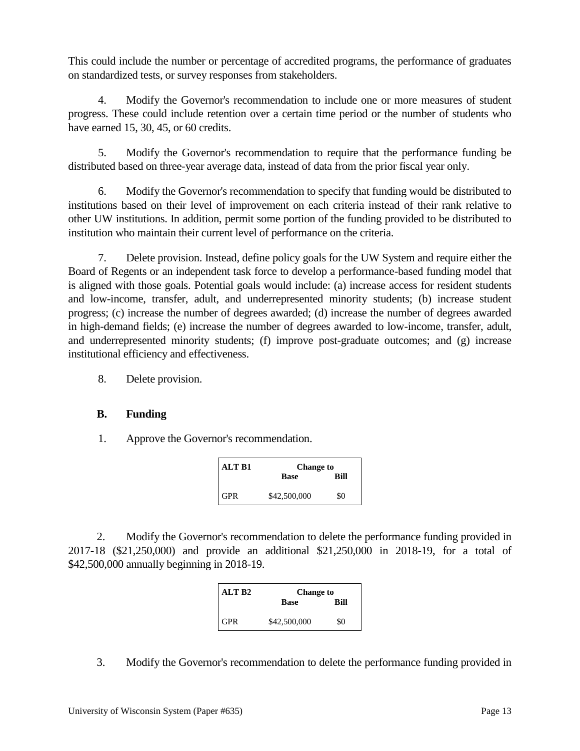This could include the number or percentage of accredited programs, the performance of graduates on standardized tests, or survey responses from stakeholders.

4. Modify the Governor's recommendation to include one or more measures of student progress. These could include retention over a certain time period or the number of students who have earned 15, 30, 45, or 60 credits.

5. Modify the Governor's recommendation to require that the performance funding be distributed based on three-year average data, instead of data from the prior fiscal year only.

6. Modify the Governor's recommendation to specify that funding would be distributed to institutions based on their level of improvement on each criteria instead of their rank relative to other UW institutions. In addition, permit some portion of the funding provided to be distributed to institution who maintain their current level of performance on the criteria.

7. Delete provision. Instead, define policy goals for the UW System and require either the Board of Regents or an independent task force to develop a performance-based funding model that is aligned with those goals. Potential goals would include: (a) increase access for resident students and low-income, transfer, adult, and underrepresented minority students; (b) increase student progress; (c) increase the number of degrees awarded; (d) increase the number of degrees awarded in high-demand fields; (e) increase the number of degrees awarded to low-income, transfer, adult, and underrepresented minority students; (f) improve post-graduate outcomes; and (g) increase institutional efficiency and effectiveness.

8. Delete provision.

## **B. Funding**

1. Approve the Governor's recommendation.

| ALT B1 | <b>Change to</b> |      |
|--------|------------------|------|
|        | <b>Base</b>      | Rill |
| GPR    | \$42,500,000     | -80  |

2. Modify the Governor's recommendation to delete the performance funding provided in 2017-18 (\$21,250,000) and provide an additional \$21,250,000 in 2018-19, for a total of \$42,500,000 annually beginning in 2018-19.

| ALT B <sub>2</sub> | <b>Change to</b> |      |
|--------------------|------------------|------|
|                    | Base             | Rill |
| <b>GPR</b>         | \$42,500,000     | \$0  |

3. Modify the Governor's recommendation to delete the performance funding provided in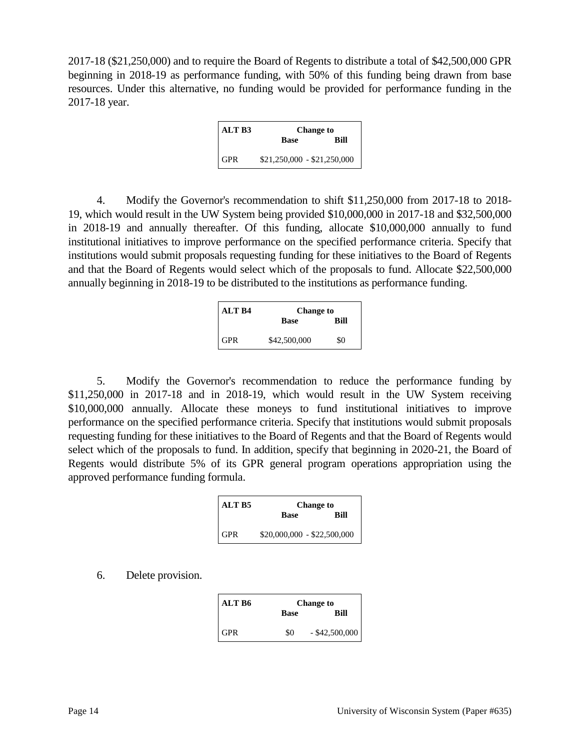2017-18 (\$21,250,000) and to require the Board of Regents to distribute a total of \$42,500,000 GPR beginning in 2018-19 as performance funding, with 50% of this funding being drawn from base resources. Under this alternative, no funding would be provided for performance funding in the 2017-18 year.

| ALT B3 | <b>Change to</b>            |      |
|--------|-----------------------------|------|
|        | Base                        | Rill |
| GPR    | $$21,250,000 - $21,250,000$ |      |

4. Modify the Governor's recommendation to shift \$11,250,000 from 2017-18 to 2018- 19, which would result in the UW System being provided \$10,000,000 in 2017-18 and \$32,500,000 in 2018-19 and annually thereafter. Of this funding, allocate \$10,000,000 annually to fund institutional initiatives to improve performance on the specified performance criteria. Specify that institutions would submit proposals requesting funding for these initiatives to the Board of Regents and that the Board of Regents would select which of the proposals to fund. Allocate \$22,500,000 annually beginning in 2018-19 to be distributed to the institutions as performance funding.

| ALT B4     | <b>Change to</b> |      |
|------------|------------------|------|
|            | <b>Base</b>      | Rill |
| <b>GPR</b> | \$42,500,000     | \$0  |

5. Modify the Governor's recommendation to reduce the performance funding by \$11,250,000 in 2017-18 and in 2018-19, which would result in the UW System receiving \$10,000,000 annually. Allocate these moneys to fund institutional initiatives to improve performance on the specified performance criteria. Specify that institutions would submit proposals requesting funding for these initiatives to the Board of Regents and that the Board of Regents would select which of the proposals to fund. In addition, specify that beginning in 2020-21, the Board of Regents would distribute 5% of its GPR general program operations appropriation using the approved performance funding formula.

| ALT <sub>R5</sub> | <b>Change to</b>            |      |
|-------------------|-----------------------------|------|
|                   | <b>Base</b>                 | Rill |
| <b>GPR</b>        | $$20,000,000 - $22,500,000$ |      |

#### 6. Delete provision.

| ALT B6 | <b>Change to</b> |                  |
|--------|------------------|------------------|
|        | <b>Base</b>      | Rill             |
| GPR    | \$0              | $-$ \$42,500,000 |